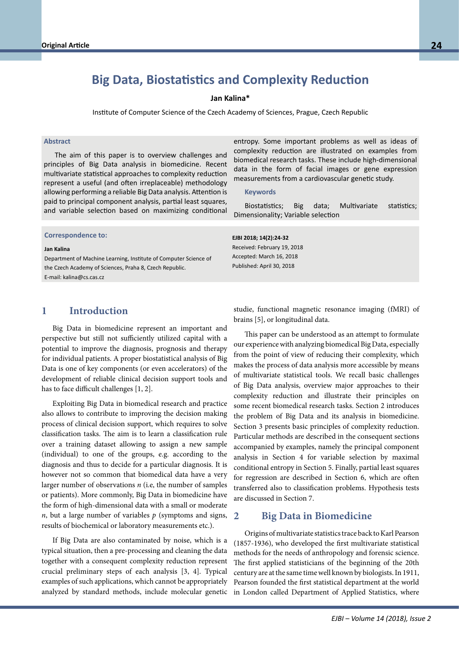# **Big Data, Biostatistics and Complexity Reduction**

#### **Jan Kalina\***

Institute of Computer Science of the Czech Academy of Sciences, Prague, Czech Republic

### **Abstract**

The aim of this paper is to overview challenges and principles of Big Data analysis in biomedicine. Recent multivariate statistical approaches to complexity reduction represent a useful (and often irreplaceable) methodology allowing performing a reliable Big Data analysis. Attention is paid to principal component analysis, partial least squares, and variable selection based on maximizing conditional

**Correspondence to: Correspondence to:**

#### **Jan Kalina**

**Prof. Dr. habil. Bernd Blobels, FACMI, FACHI, FHL7, FEFMI, MIAHSI** Department of Machine Learning, Institute of Computer Science of the Czech Academy of Sciences, Praha 8, Czech Republic. E-mail: kalina@cs.cas.cz

entropy. Some important problems as well as ideas of complexity reduction are illustrated on examples from biomedical research tasks. These include high-dimensional data in the form of facial images or gene expression measurements from a cardiovascular genetic study.

#### **Keywords**

Biostatistics; Big data; Multivariate statistics; Dimensionality; Variable selection

#### **EJBI 2018; 14(2):24-32**

Received: February 19, 2018 Accepted: March 16, 2018 Published: April 30, 2018

## **1 Introduction**

Big Data in biomedicine represent an important and perspective but still not sufficiently utilized capital with a potential to improve the diagnosis, prognosis and therapy for individual patients. A proper biostatistical analysis of Big Data is one of key components (or even accelerators) of the development of reliable clinical decision support tools and has to face difficult challenges [1, 2].

Exploiting Big Data in biomedical research and practice also allows to contribute to improving the decision making process of clinical decision support, which requires to solve classification tasks. The aim is to learn a classification rule over a training dataset allowing to assign a new sample (individual) to one of the groups, e.g. according to the diagnosis and thus to decide for a particular diagnosis. It is however not so common that biomedical data have a very larger number of observations *n* (i.e, the number of samples or patients). More commonly, Big Data in biomedicine have the form of high-dimensional data with a small or moderate *n*, but a large number of variables *p* (symptoms and signs, 2 results of biochemical or laboratory measurements etc.).

If Big Data are also contaminated by noise, which is a typical situation, then a pre-processing and cleaning the data together with a consequent complexity reduction represent crucial preliminary steps of each analysis [3, 4]. Typical examples of such applications, which cannot be appropriately analyzed by standard methods, include molecular genetic studie, functional magnetic resonance imaging (fMRI) of brains [5], or longitudinal data.

This paper can be understood as an attempt to formulate our experience with analyzing biomedical Big Data, especially from the point of view of reducing their complexity, which makes the process of data analysis more accessible by means of multivariate statistical tools. We recall basic challenges of Big Data analysis, overview major approaches to their complexity reduction and illustrate their principles on some recent biomedical research tasks. Section 2 introduces the problem of Big Data and its analysis in biomedicine. Section 3 presents basic principles of complexity reduction. Particular methods are described in the consequent sections accompanied by examples, namely the principal component analysis in Section 4 for variable selection by maximal conditional entropy in Section 5. Finally, partial least squares for regression are described in Section 6, which are often transferred also to classification problems. Hypothesis tests are discussed in Section 7.

### **2 Big Data in Biomedicine**

Origins of multivariate statistics trace back to Karl Pearson (1857-1936), who developed the first multivariate statistical methods for the needs of anthropology and forensic science. The first applied statisticians of the beginning of the 20th century are at the same time well known by biologists. In 1911, Pearson founded the first statistical department at the world in London called Department of Applied Statistics, where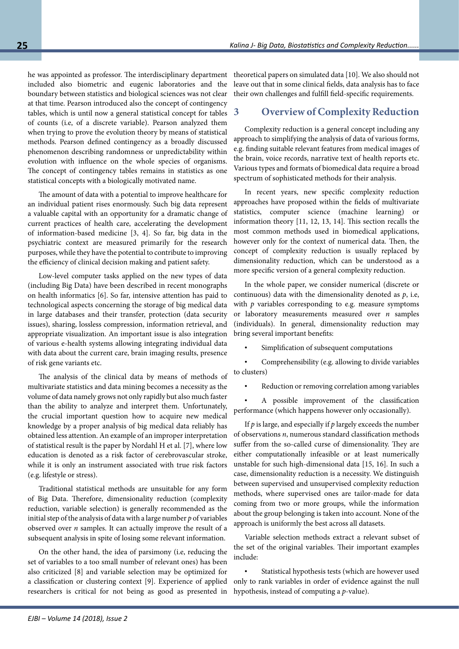he was appointed as professor. The interdisciplinary department included also biometric and eugenic laboratories and the boundary between statistics and biological sciences was not clear at that time. Pearson introduced also the concept of contingency tables, which is until now a general statistical concept for tables of counts (i.e, of a discrete variable). Pearson analyzed them when trying to prove the evolution theory by means of statistical methods. Pearson defined contingency as a broadly discussed phenomenon describing randomness or unpredictability within evolution with influence on the whole species of organisms. The concept of contingency tables remains in statistics as one statistical concepts with a biologically motivated name.

The amount of data with a potential to improve healthcare for an individual patient rises enormously. Such big data represent a valuable capital with an opportunity for a dramatic change of current practices of health care, accelerating the development of information-based medicine [3, 4]. So far, big data in the psychiatric context are measured primarily for the research purposes, while they have the potential to contribute to improving the efficiency of clinical decision making and patient safety.

Low-level computer tasks applied on the new types of data (including Big Data) have been described in recent monographs on health informatics [6]. So far, intensive attention has paid to technological aspects concerning the storage of big medical data in large databases and their transfer, protection (data security issues), sharing, lossless compression, information retrieval, and appropriate visualization. An important issue is also integration of various e-health systems allowing integrating individual data with data about the current care, brain imaging results, presence of risk gene variants etc.

The analysis of the clinical data by means of methods of multivariate statistics and data mining becomes a necessity as the volume of data namely grows not only rapidly but also much faster than the ability to analyze and interpret them. Unfortunately, the crucial important question how to acquire new medical knowledge by a proper analysis of big medical data reliably has obtained less attention. An example of an improper interpretation of statistical result is the paper by Nordahl H et al. [7], where low education is denoted as a risk factor of cerebrovascular stroke, while it is only an instrument associated with true risk factors (e.g. lifestyle or stress).

Traditional statistical methods are unsuitable for any form of Big Data. Therefore, dimensionality reduction (complexity reduction, variable selection) is generally recommended as the initial step of the analysis of data with a large number *p* of variables observed over *n* samples. It can actually improve the result of a subsequent analysis in spite of losing some relevant information.

On the other hand, the idea of parsimony (i.e, reducing the set of variables to a too small number of relevant ones) has been also criticized [8] and variable selection may be optimized for a classification or clustering context [9]. Experience of applied researchers is critical for not being as good as presented in theoretical papers on simulated data [10]. We also should not leave out that in some clinical fields, data analysis has to face their own challenges and fulfill field-specific requirements.

## **3 Overview of Complexity Reduction**

Complexity reduction is a general concept including any approach to simplifying the analysis of data of various forms, e.g. finding suitable relevant features from medical images of the brain, voice records, narrative text of health reports etc. Various types and formats of biomedical data require a broad spectrum of sophisticated methods for their analysis.

In recent years, new specific complexity reduction approaches have proposed within the fields of multivariate statistics, computer science (machine learning) or information theory [11, 12, 13, 14]. This section recalls the most common methods used in biomedical applications, however only for the context of numerical data. Then, the concept of complexity reduction is usually replaced by dimensionality reduction, which can be understood as a more specific version of a general complexity reduction.

In the whole paper, we consider numerical (discrete or continuous) data with the dimensionality denoted as *p*, i.e, with *p* variables corresponding to e.g. measure symptoms or laboratory measurements measured over *n* samples (individuals). In general, dimensionality reduction may bring several important benefits:

Simplification of subsequent computations

• Comprehensibility (e.g. allowing to divide variables to clusters)

Reduction or removing correlation among variables

• A possible improvement of the classification performance (which happens however only occasionally).

If *p* is large, and especially if *p* largely exceeds the number of observations *n*, numerous standard classification methods suffer from the so-called curse of dimensionality. They are either computationally infeasible or at least numerically unstable for such high-dimensional data [15, 16]. In such a case, dimensionality reduction is a necessity. We distinguish between supervised and unsupervised complexity reduction methods, where supervised ones are tailor-made for data coming from two or more groups, while the information about the group belonging is taken into account. None of the approach is uniformly the best across all datasets.

Variable selection methods extract a relevant subset of the set of the original variables. Their important examples include:

Statistical hypothesis tests (which are however used only to rank variables in order of evidence against the null hypothesis, instead of computing a *p*-value).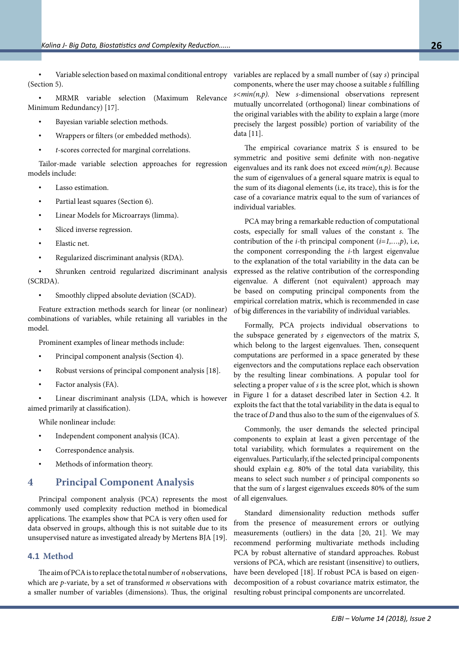• Variable selection based on maximal conditional entropy (Section 5).

• MRMR variable selection (Maximum Relevance Minimum Redundancy) [17].

- Bayesian variable selection methods.
- Wrappers or filters (or embedded methods).
- *t*-scores corrected for marginal correlations.

Tailor-made variable selection approaches for regression models include:

- Lasso estimation.
- Partial least squares (Section 6).
- Linear Models for Microarrays (limma).
- Sliced inverse regression.
- Elastic net.
- Regularized discriminant analysis (RDA).

Shrunken centroid regularized discriminant analysis (SCRDA).

• Smoothly clipped absolute deviation (SCAD).

Feature extraction methods search for linear (or nonlinear) combinations of variables, while retaining all variables in the model.

Prominent examples of linear methods include:

- Principal component analysis (Section 4).
- Robust versions of principal component analysis [18].
- Factor analysis (FA).

Linear discriminant analysis (LDA, which is however aimed primarily at classification).

While nonlinear include:

- Independent component analysis (ICA).
- Correspondence analysis.
- Methods of information theory.

## **4 Principal Component Analysis**

Principal component analysis (PCA) represents the most commonly used complexity reduction method in biomedical applications. The examples show that PCA is very often used for data observed in groups, although this is not suitable due to its unsupervised nature as investigated already by Mertens BJA [19].

## **4.1 Method**

The aim of PCA is to replace the total number of *n* observations, which are *p*-variate, by a set of transformed *n* observations with a smaller number of variables (dimensions). Thus, the original variables are replaced by a small number of (say *s*) principal components, where the user may choose a suitable *s* fulfilling *s<min(n,p).* New *s*-dimensional observations represent mutually uncorrelated (orthogonal) linear combinations of the original variables with the ability to explain a large (more precisely the largest possible) portion of variability of the data [11].

The empirical covariance matrix *S* is ensured to be symmetric and positive semi definite with non-negative eigenvalues and its rank does not exceed *mim(n,p).* Because the sum of eigenvalues of a general square matrix is equal to the sum of its diagonal elements (i.e, its trace), this is for the case of a covariance matrix equal to the sum of variances of individual variables.

PCA may bring a remarkable reduction of computational costs, especially for small values of the constant *s*. The contribution of the *i*-th principal component  $(i=1,...,p)$ , i.e, the component corresponding the *i*-th largest eigenvalue to the explanation of the total variability in the data can be expressed as the relative contribution of the corresponding eigenvalue. A different (not equivalent) approach may be based on computing principal components from the empirical correlation matrix, which is recommended in case of big differences in the variability of individual variables.

Formally, PCA projects individual observations to the subspace generated by *s* eigenvectors of the matrix *S*, which belong to the largest eigenvalues. Then, consequent computations are performed in a space generated by these eigenvectors and the computations replace each observation by the resulting linear combinations. A popular tool for selecting a proper value of *s* is the scree plot, which is shown in Figure 1 for a dataset described later in Section 4.2. It exploits the fact that the total variability in the data is equal to the trace of *D* and thus also to the sum of the eigenvalues of *S*.

Commonly, the user demands the selected principal components to explain at least a given percentage of the total variability, which formulates a requirement on the eigenvalues. Particularly, if the selected principal components should explain e.g. 80% of the total data variability, this means to select such number *s* of principal components so that the sum of *s* largest eigenvalues exceeds 80% of the sum of all eigenvalues.

Standard dimensionality reduction methods suffer from the presence of measurement errors or outlying measurements (outliers) in the data [20, 21]. We may recommend performing multivariate methods including PCA by robust alternative of standard approaches. Robust versions of PCA, which are resistant (insensitive) to outliers, have been developed [18]. If robust PCA is based on eigendecomposition of a robust covariance matrix estimator, the resulting robust principal components are uncorrelated.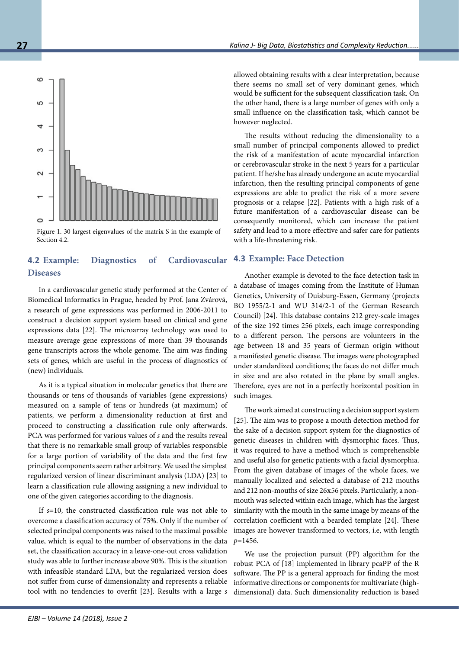

however neglected.

The results without reducing the dimensionality to a small number of principal components allowed to predict the risk of a manifestation of acute myocardial infarction or cerebrovascular stroke in the next 5 years for a particular patient. If he/she has already undergone an acute myocardial infarction, then the resulting principal components of gene expressions are able to predict the risk of a more severe prognosis or a relapse [22]. Patients with a high risk of a future manifestation of a cardiovascular disease can be consequently monitored, which can increase the patient safety and lead to a more effective and safer care for patients with a life-threatening risk.

### **4.3 Example: Face Detection**

Another example is devoted to the face detection task in a database of images coming from the Institute of Human Genetics, University of Duisburg-Essen, Germany (projects BO 1955/2-1 and WU 314/2-1 of the German Research Council) [24]. This database contains 212 grey-scale images of the size 192 times 256 pixels, each image corresponding to a different person. The persons are volunteers in the age between 18 and 35 years of German origin without a manifested genetic disease. The images were photographed under standardized conditions; the faces do not differ much in size and are also rotated in the plane by small angles. Therefore, eyes are not in a perfectly horizontal position in such images.

The work aimed at constructing a decision support system [25]. The aim was to propose a mouth detection method for the sake of a decision support system for the diagnostics of genetic diseases in children with dysmorphic faces. Thus, it was required to have a method which is comprehensible and useful also for genetic patients with a facial dysmorphia. From the given database of images of the whole faces, we manually localized and selected a database of 212 mouths and 212 non-mouths of size 26x56 pixels. Particularly, a nonmouth was selected within each image, which has the largest similarity with the mouth in the same image by means of the correlation coefficient with a bearded template [24]. These images are however transformed to vectors, i.e, with length *p*=1456.

We use the projection pursuit (PP) algorithm for the robust PCA of [18] implemented in library pcaPP of the R software. The PP is a general approach for finding the most informative directions or components for multivariate (highdimensional) data. Such dimensionality reduction is based

Section 4.2.

Figure 1. 30 largest eigenvalues of the matrix S in the example of

## **4.2 Example: Diagnostics of Cardiovascular Diseases**

In a cardiovascular genetic study performed at the Center of Biomedical Informatics in Prague, headed by Prof. Jana Zvárová, a research of gene expressions was performed in 2006-2011 to construct a decision support system based on clinical and gene expressions data [22]. The microarray technology was used to measure average gene expressions of more than 39 thousands gene transcripts across the whole genome. The aim was finding sets of genes, which are useful in the process of diagnostics of (new) individuals.

As it is a typical situation in molecular genetics that there are thousands or tens of thousands of variables (gene expressions) measured on a sample of tens or hundreds (at maximum) of patients, we perform a dimensionality reduction at first and proceed to constructing a classification rule only afterwards. PCA was performed for various values of *s* and the results reveal that there is no remarkable small group of variables responsible for a large portion of variability of the data and the first few principal components seem rather arbitrary. We used the simplest regularized version of linear discriminant analysis (LDA) [23] to learn a classification rule allowing assigning a new individual to one of the given categories according to the diagnosis.

If *s*=10, the constructed classification rule was not able to overcome a classification accuracy of 75%. Only if the number of selected principal components was raised to the maximal possible value, which is equal to the number of observations in the data set, the classification accuracy in a leave-one-out cross validation study was able to further increase above 90%. This is the situation with infeasible standard LDA, but the regularized version does not suffer from curse of dimensionality and represents a reliable tool with no tendencies to overfit [23]. Results with a large *s* allowed obtaining results with a clear interpretation, because there seems no small set of very dominant genes, which would be sufficient for the subsequent classification task. On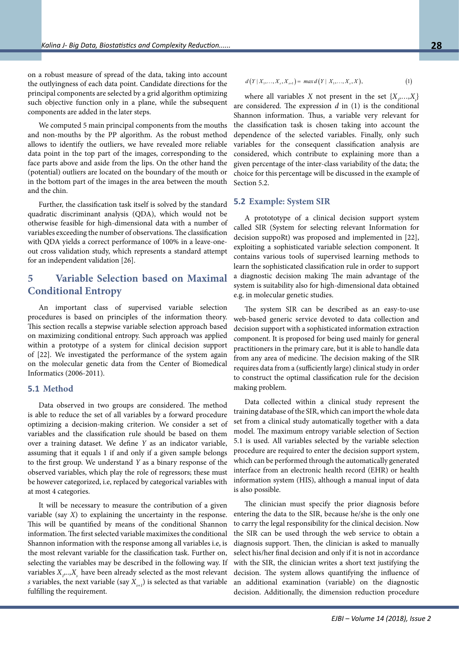on a robust measure of spread of the data, taking into account the outlyingness of each data point. Candidate directions for the principal components are selected by a grid algorithm optimizing such objective function only in a plane, while the subsequent components are added in the later steps.

We computed 5 main principal components from the mouths and non-mouths by the PP algorithm. As the robust method allows to identify the outliers, we have revealed more reliable data point in the top part of the images, corresponding to the face parts above and aside from the lips. On the other hand the (potential) outliers are located on the boundary of the mouth or in the bottom part of the images in the area between the mouth and the chin.

Further, the classification task itself is solved by the standard quadratic discriminant analysis (QDA), which would not be otherwise feasible for high-dimensional data with a number of variables exceeding the number of observations. The classification with QDA yields a correct performance of 100% in a leave-oneout cross validation study, which represents a standard attempt for an independent validation [26].

## **5 Variable Selection based on Maximal Conditional Entropy**

An important class of supervised variable selection procedures is based on principles of the information theory. This section recalls a stepwise variable selection approach based on maximizing conditional entropy. Such approach was applied within a prototype of a system for clinical decision support of [22]. We investigated the performance of the system again on the molecular genetic data from the Center of Biomedical Informatics (2006-2011).

#### **5.1 Method**

Data observed in two groups are considered. The method is able to reduce the set of all variables by a forward procedure optimizing a decision-making criterion. We consider a set of variables and the classification rule should be based on them over a training dataset. We define *Y* as an indicator variable, assuming that it equals 1 if and only if a given sample belongs to the first group. We understand *Y* as a binary response of the observed variables, which play the role of regressors; these must be however categorized, i.e, replaced by categorical variables with at most 4 categories.

It will be necessary to measure the contribution of a given variable (say *X*) to explaining the uncertainty in the response. This will be quantified by means of the conditional Shannon information. The first selected variable maximixes the conditional Shannon information with the response among all variables i.e, is the most relevant variable for the classification task. Further on, selecting the variables may be described in the following way. If variables  $X_p...X_s$  have been already selected as the most relevant *s* variables, the next variable (say  $X_{n+1}$ ) is selected as that variable fulfilling the requirement.

$$
d(Y|X_1,...,X_s,X_{s+1}) = max d(Y|X_1,...,X_s,X),
$$
\n(1)

where all variables *X* not present in the set  $\{X_1, \ldots, X_s\}$ are considered. The expression *d* in (1) is the conditional Shannon information. Thus, a variable very relevant for the classification task is chosen taking into account the dependence of the selected variables. Finally, only such variables for the consequent classification analysis are considered, which contribute to explaining more than a given percentage of the inter-class variability of the data; the choice for this percentage will be discussed in the example of Section 5.2.

### **5.2 Example: System SIR**

A protototype of a clinical decision support system called SIR (System for selecting relevant Information for decision suppoRt) was proposed and implemented in [22], exploiting a sophisticated variable selection component. It contains various tools of supervised learning methods to learn the sophisticated classification rule in order to support a diagnostic decision making The main advantage of the system is suitability also for high-dimensional data obtained e.g. in molecular genetic studies.

The system SIR can be described as an easy-to-use web-based generic service devoted to data collection and decision support with a sophisticated information extraction component. It is proposed for being used mainly for general practitioners in the primary care, but it is able to handle data from any area of medicine. The decision making of the SIR requires data from a (sufficiently large) clinical study in order to construct the optimal classification rule for the decision making problem.

Data collected within a clinical study represent the training database of the SIR, which can import the whole data set from a clinical study automatically together with a data model. The maximum entropy variable selection of Section 5.1 is used. All variables selected by the variable selection procedure are required to enter the decision support system, which can be performed through the automatically generated interface from an electronic health record (EHR) or health information system (HIS), although a manual input of data is also possible.

The clinician must specify the prior diagnosis before entering the data to the SIR, because he/she is the only one to carry the legal responsibility for the clinical decision. Now the SIR can be used through the web service to obtain a diagnosis support. Then, the clinician is asked to manually select his/her final decision and only if it is not in accordance with the SIR, the clinician writes a short text justifying the decision. The system allows quantifying the influence of an additional examination (variable) on the diagnostic decision. Additionally, the dimension reduction procedure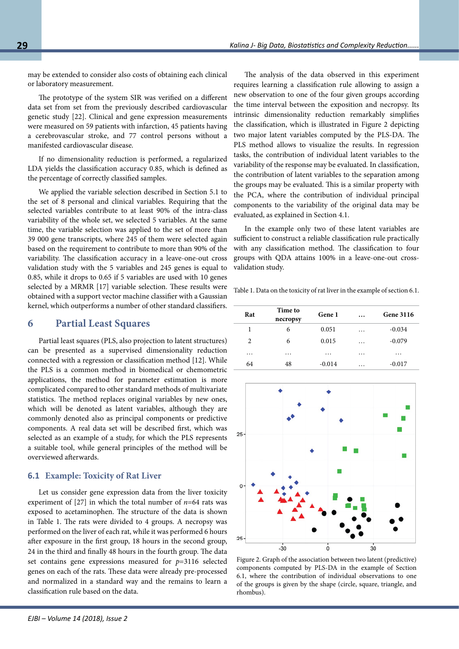may be extended to consider also costs of obtaining each clinical or laboratory measurement.

The prototype of the system SIR was verified on a different data set from set from the previously described cardiovascular genetic study [22]. Clinical and gene expression measurements were measured on 59 patients with infarction, 45 patients having a cerebrovascular stroke, and 77 control persons without a manifested cardiovascular disease.

If no dimensionality reduction is performed, a regularized LDA yields the classification accuracy 0.85, which is defined as the percentage of correctly classified samples.

We applied the variable selection described in Section 5.1 to the set of 8 personal and clinical variables. Requiring that the selected variables contribute to at least 90% of the intra-class variability of the whole set, we selected 5 variables. At the same time, the variable selection was applied to the set of more than 39 000 gene transcripts, where 245 of them were selected again based on the requirement to contribute to more than 90% of the variability. The classification accuracy in a leave-one-out cross validation study with the 5 variables and 245 genes is equal to 0.85, while it drops to 0.65 if 5 variables are used with 10 genes selected by a MRMR [17] variable selection. These results were obtained with a support vector machine classifier with a Gaussian kernel, which outperforms a number of other standard classifiers.

## **6 Partial Least Squares**

Partial least squares (PLS, also projection to latent structures) can be presented as a supervised dimensionality reduction connected with a regression or classification method [12]. While the PLS is a common method in biomedical or chemometric applications, the method for parameter estimation is more complicated compared to other standard methods of multivariate statistics. The method replaces original variables by new ones, which will be denoted as latent variables, although they are commonly denoted also as principal components or predictive components. A real data set will be described first, which was selected as an example of a study, for which the PLS represents a suitable tool, while general principles of the method will be overviewed afterwards.

### **6.1 Example: Toxicity of Rat Liver**

Let us consider gene expression data from the liver toxicity experiment of [27] in which the total number of *n*=64 rats was exposed to acetaminophen. The structure of the data is shown in Table 1. The rats were divided to 4 groups. A necropsy was performed on the liver of each rat, while it was performed 6 hours after exposure in the first group, 18 hours in the second group, 24 in the third and finally 48 hours in the fourth group. The data set contains gene expressions measured for *p*=3116 selected genes on each of the rats. These data were already pre-processed and normalized in a standard way and the remains to learn a classification rule based on the data.

The analysis of the data observed in this experiment requires learning a classification rule allowing to assign a new observation to one of the four given groups according the time interval between the exposition and necropsy. Its intrinsic dimensionality reduction remarkably simplifies the classification, which is illustrated in Figure 2 depicting two major latent variables computed by the PLS-DA. The PLS method allows to visualize the results. In regression tasks, the contribution of individual latent variables to the variability of the response may be evaluated. In classification, the contribution of latent variables to the separation among the groups may be evaluated. This is a similar property with the PCA, where the contribution of individual principal components to the variability of the original data may be evaluated, as explained in Section 4.1.

In the example only two of these latent variables are sufficient to construct a reliable classification rule practically with any classification method. The classification to four groups with QDA attains 100% in a leave-one-out crossvalidation study.

Table 1. Data on the toxicity of rat liver in the example of section 6.1.

| Rat      | Time to<br>necropsy | Gene 1   | $\cdots$ | <b>Gene 3116</b> |
|----------|---------------------|----------|----------|------------------|
| 1        | 6                   | 0.051    | $\cdots$ | $-0.034$         |
| 2        | 6                   | 0.015    | $\cdots$ | $-0.079$         |
| $\cdots$ | $\cdots$            | $\cdots$ | .        | $\cdots$         |
| 64       | 48                  | $-0.014$ | $\cdots$ | $-0.017$         |



Figure 2. Graph of the association between two latent (predictive) components computed by PLS-DA in the example of Section 6.1, where the contribution of individual observations to one of the groups is given by the shape (circle, square, triangle, and rhombus).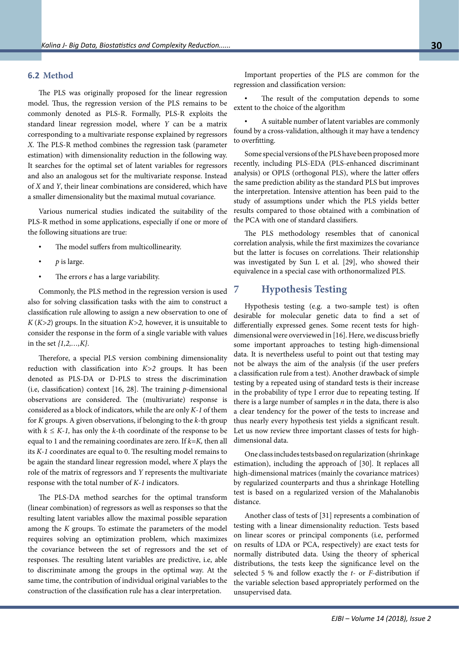### **6.2 Method**

The PLS was originally proposed for the linear regression model. Thus, the regression version of the PLS remains to be commonly denoted as PLS-R. Formally, PLS-R exploits the standard linear regression model, where *Y* can be a matrix corresponding to a multivariate response explained by regressors *X.* The PLS-R method combines the regression task (parameter estimation) with dimensionality reduction in the following way. It searches for the optimal set of latent variables for regressors and also an analogous set for the multivariate response. Instead of *X* and *Y*, their linear combinations are considered, which have a smaller dimensionality but the maximal mutual covariance.

Various numerical studies indicated the suitability of the PLS-R method in some applications, especially if one or more of the following situations are true:

- The model suffers from multicollinearity.
- *p* is large.
- The errors *e* has a large variability.

Commonly, the PLS method in the regression version is used also for solving classification tasks with the aim to construct a classification rule allowing to assign a new observation to one of *K* (*K>2*) groups. In the situation *K>2,* however, it is unsuitable to consider the response in the form of a single variable with values in the set *{1,2,…,K}.*

Therefore, a special PLS version combining dimensionality reduction with classification into *K>2* groups. It has been denoted as PLS-DA or D-PLS to stress the discrimination (i.e, classification) context [16, 28]. The training *p*-dimensional observations are considered. The (multivariate) response is considered as a block of indicators, while the are only *K-1* of them for *K* groups. A given observations, if belonging to the *k*-th group with  $k \leq K-1$ , has only the *k*-th coordinate of the response to be equal to 1 and the remaining coordinates are zero. If *k=K,* then all its *K-1* coordinates are equal to 0. The resulting model remains to be again the standard linear regression model, where *X* plays the role of the matrix of regressors and *Y* represents the multivariate response with the total number of *K-1* indicators.

The PLS-DA method searches for the optimal transform (linear combination) of regressors as well as responses so that the resulting latent variables allow the maximal possible separation among the *K* groups. To estimate the parameters of the model requires solving an optimization problem, which maximizes the covariance between the set of regressors and the set of responses. The resulting latent variables are predictive, i.e, able to discriminate among the groups in the optimal way. At the same time, the contribution of individual original variables to the construction of the classification rule has a clear interpretation.

Important properties of the PLS are common for the regression and classification version:

The result of the computation depends to some extent to the choice of the algorithm

• A suitable number of latent variables are commonly found by a cross-validation, although it may have a tendency to overfitting.

Some special versions of the PLS have been proposed more recently, including PLS-EDA (PLS-enhanced discriminant analysis) or OPLS (orthogonal PLS), where the latter offers the same prediction ability as the standard PLS but improves the interpretation. Intensive attention has been paid to the study of assumptions under which the PLS yields better results compared to those obtained with a combination of the PCA with one of standard classifiers.

The PLS methodology resembles that of canonical correlation analysis, while the first maximizes the covariance but the latter is focuses on correlations. Their relationship was investigated by Sun L et al. [29], who showed their equivalence in a special case with orthonormalized PLS.

## **7 Hypothesis Testing**

Hypothesis testing (e.g. a two-sample test) is often desirable for molecular genetic data to find a set of differentially expressed genes. Some recent tests for highdimensional were overviewed in [16]. Here, we discuss briefly some important approaches to testing high-dimensional data. It is nevertheless useful to point out that testing may not be always the aim of the analysis (if the user prefers a classification rule from a test). Another drawback of simple testing by a repeated using of standard tests is their increase in the probability of type I error due to repeating testing. If there is a large number of samples *n* in the data, there is also a clear tendency for the power of the tests to increase and thus nearly every hypothesis test yields a significant result. Let us now review three important classes of tests for highdimensional data.

One class includes tests based on regularization (shrinkage estimation), including the approach of [30]. It replaces all high-dimensional matrices (mainly the covariance matrices) by regularized counterparts and thus a shrinkage Hotelling test is based on a regularized version of the Mahalanobis distance.

Another class of tests of [31] represents a combination of testing with a linear dimensionality reduction. Tests based on linear scores or principal components (i.e, performed on results of LDA or PCA, respectively) are exact tests for normally distributed data. Using the theory of spherical distributions, the tests keep the significance level on the selected 5 % and follow exactly the *t*- or *F*-distribution if the variable selection based appropriately performed on the unsupervised data.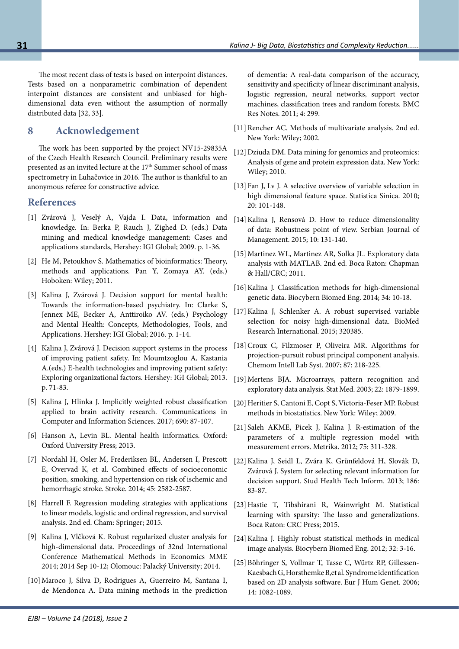The most recent class of tests is based on interpoint distances. Tests based on a nonparametric combination of dependent interpoint distances are consistent and unbiased for highdimensional data even without the assumption of normally distributed data [32, 33].

## **8 Acknowledgement**

The work has been supported by the project NV15-29835A of the Czech Health Research Council. Preliminary results were presented as an invited lecture at the 17<sup>th</sup> Summer school of mass spectrometry in Luhačovice in 2016. The author is thankful to an anonymous referee for constructive advice.

## **References**

- [1] Zvárová J, Veselý A, Vajda I. Data, information and knowledge. In: Berka P, Rauch J, Zighed D. (eds.) Data mining and medical knowledge management: Cases and applications standards, Hershey: IGI Global; 2009. p. 1-36.
- [2] He M, Petoukhov S. Mathematics of bioinformatics: Theory, methods and applications. Pan Y, Zomaya AY. (eds.) Hoboken: Wiley; 2011.
- [3] Kalina J, Zvárová J. Decision support for mental health: Towards the information-based psychiatry. In: Clarke S, Jennex ME, Becker A, Anttiroiko AV. (eds.) Psychology and Mental Health: Concepts, Methodologies, Tools, and Applications. Hershey: IGI Global; 2016. p. 1-14.
- [4] Kalina J, Zvárová J. Decision support systems in the process of improving patient safety. In: Moumtzoglou A, Kastania A.(eds.) E-health technologies and improving patient safety: Exploring organizational factors. Hershey: IGI Global; 2013. p. 71-83.
- [5] Kalina J, Hlinka J. Implicitly weighted robust classification applied to brain activity research. Communications in Computer and Information Sciences. 2017; 690: 87-107.
- [6] Hanson A, Levin BL. Mental health informatics. Oxford: Oxford University Press; 2013.
- [7] Nordahl H, Osler M, Frederiksen BL, Andersen I, Prescott E, Overvad K, et al. Combined effects of socioeconomic position, smoking, and hypertension on risk of ischemic and hemorrhagic stroke. Stroke. 2014; 45: 2582-2587.
- [8] Harrell F. Regression modeling strategies with applications to linear models, logistic and ordinal regression, and survival analysis. 2nd ed. Cham: Springer; 2015.
- [9] Kalina J, Vlčková K. Robust regularized cluster analysis for high-dimensional data. Proceedings of 32nd International Conference Mathematical Methods in Economics MME 2014; 2014 Sep 10-12; Olomouc: Palacký University; 2014.
- [10] Maroco J, Silva D, Rodrigues A, Guerreiro M, Santana I, de Mendonca A. Data mining methods in the prediction

of dementia: A real-data comparison of the accuracy, sensitivity and specificity of linear discriminant analysis, logistic regression, neural networks, support vector machines, classification trees and random forests. BMC Res Notes. 2011; 4: 299.

- [11] Rencher AC. Methods of multivariate analysis. 2nd ed. New York: Wiley; 2002.
- [12] Dziuda DM. Data mining for genomics and proteomics: Analysis of gene and protein expression data. New York: Wiley; 2010.
- [13] Fan J, Lv J. A selective overview of variable selection in high dimensional feature space. Statistica Sinica. 2010; 20: 101-148.
- [14] Kalina J, Rensová D. How to reduce dimensionality of data: Robustness point of view. Serbian Journal of Management. 2015; 10: 131-140.
- [15] Martinez WL, Martinez AR, Solka JL. Exploratory data analysis with MATLAB. 2nd ed. Boca Raton: Chapman & Hall/CRC; 2011.
- [16] Kalina J. Classification methods for high-dimensional genetic data. Biocybern Biomed Eng. 2014; 34: 10-18.
- [17] Kalina J, Schlenker A. A robust supervised variable selection for noisy high-dimensional data. BioMed Research International. 2015; 320385.
- [18] Croux C, Filzmoser P, Oliveira MR. Algorithms for projection-pursuit robust principal component analysis. Chemom Intell Lab Syst. 2007; 87: 218-225.
- [19] Mertens BJA. Microarrays, pattern recognition and exploratory data analysis. Stat Med. 2003; 22: 1879-1899.
- [20] Heritier S, Cantoni E, Copt S, Victoria-Feser MP. Robust methods in biostatistics. New York: Wiley; 2009.
- [21] Saleh AKME, Picek J, Kalina J. R-estimation of the parameters of a multiple regression model with measurement errors. Metrika. 2012; 75: 311-328.
- [22]Kalina J, Seidl L, Zvára K, Grünfeldová H, Slovák D, Zvárová J. System for selecting relevant information for decision support. Stud Health Tech Inform. 2013; 186: 83-87.
- [23]Hastie T, Tibshirani R, Wainwright M. Statistical learning with sparsity: The lasso and generalizations. Boca Raton: CRC Press; 2015.
- [24] Kalina J. Highly robust statistical methods in medical image analysis. Biocybern Biomed Eng. 2012; 32: 3-16.
- [25] Böhringer S, Vollmar T, Tasse C, Würtz RP, Gillessen-Kaesbach G, Horsthemke B,et al. Syndrome identification based on 2D analysis software. Eur J Hum Genet. 2006; 14: 1082-1089.